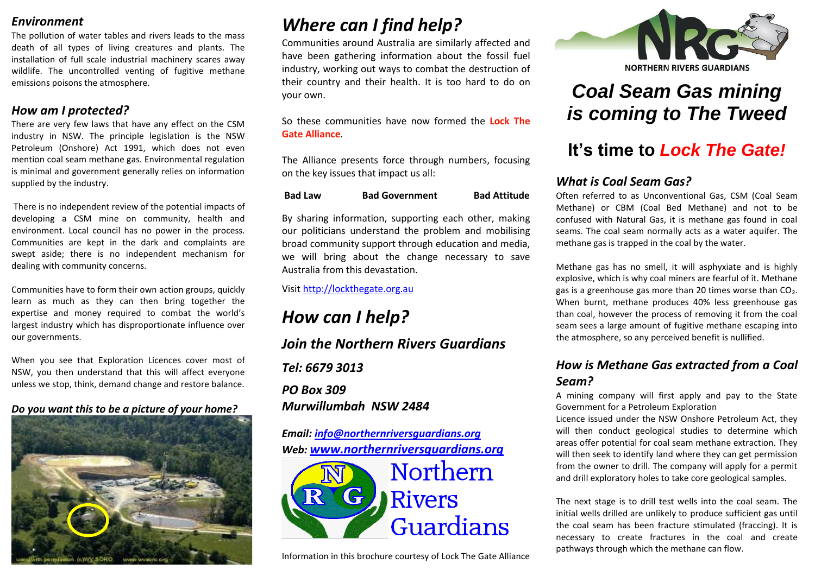## *Environment*

The pollution of water tables and rivers leads to the mass death of all types of living creatures and plants. The installation of full scale industrial machinery scares away wildlife. The uncontrolled venting of fugitive methane emissions poisons the atmosphere.

## *How am I protected?*

There are very few laws that have any effect on the CSM industry in NSW. The principle legislation is the NSW Petroleum (Onshore) Act 1991, which does not even mention coal seam methane gas. Environmental regulation is minimal and government generally relies on information supplied by the industry.

There is no independent review of the potential impacts of developing a CSM mine on community, health and environment. Local council has no power in the process. Communities are kept in the dark and complaints are swept aside; there is no independent mechanism for dealing with community concerns.

Communities have to form their own action groups, quickly learn as much as they can then bring together the expertise and money required to combat the world's largest industry which has disproportionate influence over our governments.

When you see that Exploration Licences cover most of NSW, you then understand that this will affect everyone unless we stop, think, demand change and restore balance.

## *Do you want this to be a picture of your home?*



## *Where can I find help?*

Communities around Australia are similarly affected and have been gathering information about the fossil fuel industry, working out ways to combat the destruction of their country and their health. It is too hard to do on your own.

So these communities have now formed the **Lock The Gate Alliance**.

The Alliance presents force through numbers, focusing on the key issues that impact us all:

| <b>Bad Attitude</b>   |
|-----------------------|
| <b>Bad Government</b> |

By sharing information, supporting each other, making our politicians understand the problem and mobilising broad community support through education and media, we will bring about the change necessary to save Australia from this devastation.

Visit [http://lockthegate.org.au](http://lockthegate.org.au/) 

*How can I help? Join the Northern Rivers Guardians Tel: 6679 3013 PO Box 309 Murwillumbah NSW 2484*

*Email: [info@northernriversguardians.org](mailto:info@northernriversguardians.org) Web: [www.northernriversguardians.org](http://www.northernriversguardians.org/)*



Information in this brochure courtesy of Lock The Gate Alliance



# *Coal Seam Gas mining is coming to The Tweed*

## **It's time to** *Lock The Gate!*

## *What is Coal Seam Gas?*

Often referred to as Unconventional Gas, CSM (Coal Seam Methane) or CBM (Coal Bed Methane) and not to be confused with Natural Gas, it is methane gas found in coal seams. The coal seam normally acts as a water aquifer. The methane gas is trapped in the coal by the water.

Methane gas has no smell, it will asphyxiate and is highly explosive, which is why coal miners are fearful of it. Methane gas is a greenhouse gas more than 20 times worse than CO₂. When burnt, methane produces 40% less greenhouse gas than coal, however the process of removing it from the coal seam sees a large amount of fugitive methane escaping into the atmosphere, so any perceived benefit is nullified.

## *How is Methane Gas extracted from a Coal Seam?*

A mining company will first apply and pay to the State Government for a Petroleum Exploration

Licence issued under the NSW Onshore Petroleum Act, they will then conduct geological studies to determine which areas offer potential for coal seam methane extraction. They will then seek to identify land where they can get permission from the owner to drill. The company will apply for a permit and drill exploratory holes to take core geological samples.

The next stage is to drill test wells into the coal seam. The initial wells drilled are unlikely to produce sufficient gas until the coal seam has been fracture stimulated (fraccing). It is necessary to create fractures in the coal and create pathways through which the methane can flow.